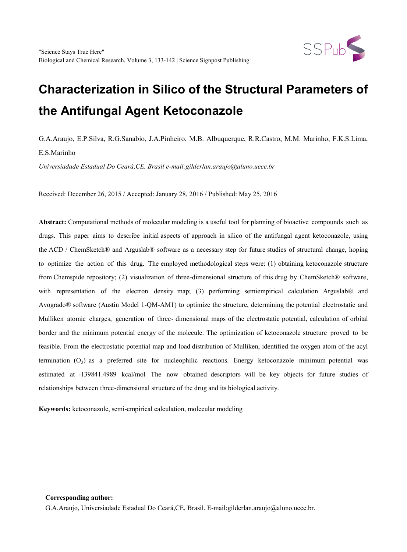

G.A.Araujo, E.P.Silva, R.G.Sanabio, J.A.Pinheiro, M.B. Albuquerque, R.R.Castro, M.M. Marinho, F.K.S.Lima, E.S.Marinho

*Universiadade Estadual Do Ceará,CE, Brasil e-mail:gilderlan.araujo@aluno.uece.br*

Received: December 26, 2015 / Accepted: January 28, 2016 / Published: May 25, 2016

**Abstract:** Computational methods of molecular modeling is a useful tool for planning of bioactive compounds such as drugs. This paper aims to describe initial aspects of approach in silico of the antifungal agent ketoconazole, using the ACD / ChemSketch® and Arguslab® software as a necessary step for future studies of structural change, hoping to optimize the action of this drug. The employed methodological steps were: (1) obtaining ketoconazole structure from Chemspide repository; (2) visualization of three-dimensional structure of this drug by ChemSketch® software, with representation of the electron density map; (3) performing semiempirical calculation Arguslab<sup>®</sup> and Avogrado® software (Austin Model 1-QM-AM1) to optimize the structure, determining the potential electrostatic and Mulliken atomic charges, generation of three- dimensional maps of the electrostatic potential, calculation of orbital border and the minimum potential energy of the molecule. The optimization of ketoconazole structure proved to be feasible. From the electrostatic potential map and load distribution of Mulliken, identified the oxygen atom of the acyl termination  $(O_3)$  as a preferred site for nucleophilic reactions. Energy ketoconazole minimum potential was estimated at -139841.4989 kcal/mol The now obtained descriptors will be key objects for future studies of relationships between three-dimensional structure of the drug and its biological activity.

**Keywords:** ketoconazole, semi-empirical calculation, molecular modeling

<span id="page-0-0"></span>-

**Corresponding author:**

G.A.Araujo, Universiadade Estadual Do Ceará,CE, Brasil. E-mail:gilderlan.araujo@aluno.uece.br.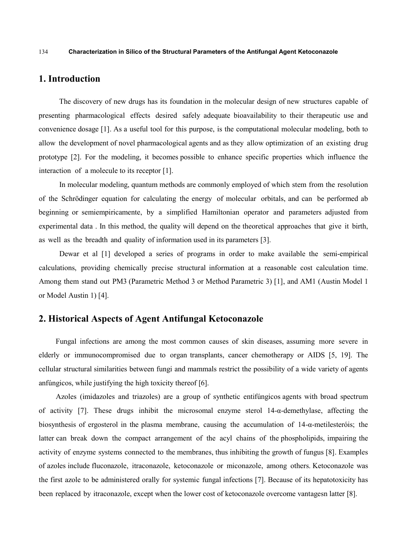## **1. Introduction**

The discovery of new drugs has its foundation in the molecular design of new structures capable of presenting pharmacological effects desired safely adequate bioavailability to their therapeutic use and convenience dosage [1]. As a useful tool for this purpose, is the computational molecular modeling, both to allow the development of novel pharmacological agents and as they allow optimization of an existing drug prototype [2]. For the modeling, it becomes possible to enhance specific properties which influence the interaction of a molecule to its receptor [1].

In molecular modeling, quantum methods are commonly employed of which stem from the resolution of the Schrödinger equation for calculating the energy of molecular orbitals, and can be performed ab beginning or semiempiricamente, by a simplified Hamiltonian operator and parameters adjusted from experimental data . In this method, the quality will depend on the theoretical approaches that give it birth, as well as the breadth and quality of information used in its parameters [3].

Dewar et al [1] developed a series of programs in order to make available the semi-empirical calculations, providing chemically precise structural information at a reasonable cost calculation time. Among them stand out PM3 (Parametric Method 3 or Method Parametric 3) [1], and AM1 (Austin Model 1 or Model Austin 1) [4].

# **2. Historical Aspects of Agent Antifungal Ketoconazole**

Fungal infections are among the most common causes of skin diseases, assuming more severe in elderly or immunocompromised due to organ transplants, cancer chemotherapy or AIDS [5, 19]. The cellular structural similarities between fungi and mammals restrict the possibility of a wide variety of agents anfúngicos, while justifying the high toxicity thereof [6].

Azoles (imidazoles and triazoles) are a group of synthetic entifúngicos agents with broad spectrum of activity [7]. These drugs inhibit the microsomal enzyme sterol 14-α-demethylase, affecting the biosynthesis of ergosterol in the plasma membrane, causing the accumulation of 14-α-metilesteróis; the latter can break down the compact arrangement of the acyl chains of the phospholipids, impairing the activity of enzyme systems connected to the membranes, thus inhibiting the growth of fungus [8]. Examples of azoles include fluconazole, itraconazole, ketoconazole or miconazole, among others. Ketoconazole was the first azole to be administered orally for systemic fungal infections [7]. Because of its hepatotoxicity has been replaced by itraconazole, except when the lower cost of ketoconazole overcome vantagesn latter [8].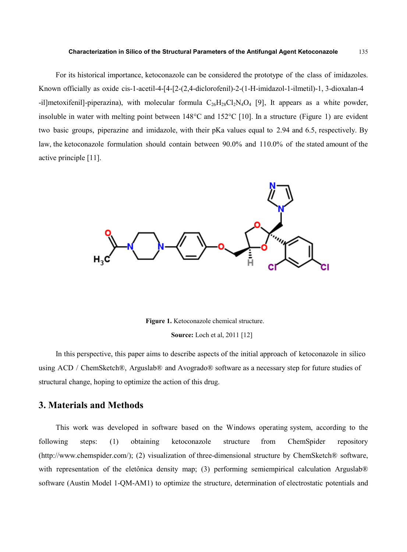For its historical importance, ketoconazole can be considered the prototype of the class of imidazoles. Known officially as oxide cis-1-acetil-4-[4-[2-(2,4-diclorofenil)-2-(1-H-imidazol-1-ilmetil)-1, 3-dioxalan-4 -il]metoxifenil]-piperazina), with molecular formula  $C_{26}H_{28}Cl_{2}N_4O_4$  [9], It appears as a white powder, insoluble in water with melting point between 148°C and 152°C [10]. In a structure (Figure 1) are evident two basic groups, piperazine and imidazole, with their pKa values equal to 2.94 and 6.5, respectively. By law, the ketoconazole formulation should contain between 90.0% and 110.0% of the stated amount of the active principle [11].



**Figure 1.** Ketoconazole chemical structure. **Source:** Loch et al, 2011 [12]

In this perspective, this paper aims to describe aspects of the initial approach of ketoconazole in silico using ACD / ChemSketch®, Arguslab® and Avogrado® software as a necessary step for future studies of structural change, hoping to optimize the action of this drug.

### **3. Materials and Methods**

This work was developed in software based on the Windows operating system, according to the following steps: (1) obtaining ketoconazole structure from ChemSpider repository [\(http://www.chemspider.com/\)](http://www.chemspider.com/); (2) visualization of three-dimensional structure by ChemSketch® software, with representation of the eletônica density map; (3) performing semiempirical calculation Arguslab<sup>®</sup> software (Austin Model 1-QM-AM1) to optimize the structure, determination of electrostatic potentials and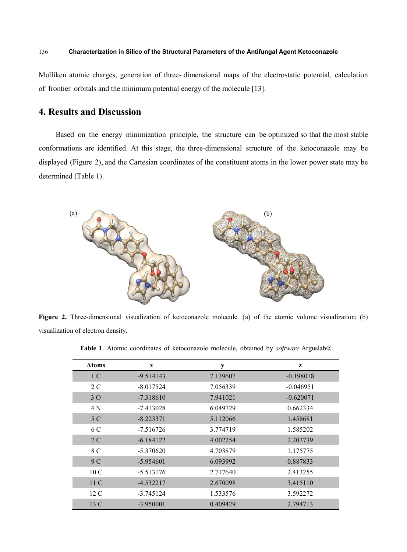Mulliken atomic charges, generation of three- dimensional maps of the electrostatic potential, calculation of frontier orbitals and the minimum potential energy of the molecule [13].

## **4. Results and Discussion**

Based on the energy minimization principle, the structure can be optimized so that the most stable conformations are identified. At this stage, the three-dimensional structure of the ketoconazole may be displayed (Figure 2), and the Cartesian coordinates of the constituent atoms in the lower power state may be determined (Table 1).



**Figure 2.** Three-dimensional visualization of ketoconazole molecule. (a) of the atomic volume visualization; (b) visualization of electron density.

**Table 1**. Atomic coordinates of ketoconazole molecule, obtained by *software* Arguslab®.

| <b>Atoms</b>    | $\mathbf x$ | y        | z           |
|-----------------|-------------|----------|-------------|
| 1 <sup>C</sup>  | $-9.514143$ | 7.139607 | $-0.198018$ |
| 2 C             | $-8.017524$ | 7.056339 | $-0.046951$ |
| 3 O             | $-7.318610$ | 7.941021 | $-0.620071$ |
| 4 N             | $-7.413028$ | 6.049729 | 0.662334    |
| 5 C             | $-8.223371$ | 5.112066 | 1.458681    |
| 6 C             | $-7.516726$ | 3.774719 | 1.585202    |
| 7 <sup>C</sup>  | $-6.184122$ | 4.002254 | 2.203739    |
| 8 C             | $-5.370620$ | 4.703879 | 1.175775    |
| 9 C             | $-5.954601$ | 6.093992 | 0.887833    |
| 10 <sub>C</sub> | -5.513176   | 2.717640 | 2.413255    |
| 11 C            | $-4.532217$ | 2.670098 | 3.415110    |
| $12\text{ C}$   | $-3.745124$ | 1.533576 | 3.592272    |
| 13 C            | $-3.950001$ | 0.409429 | 2.794713    |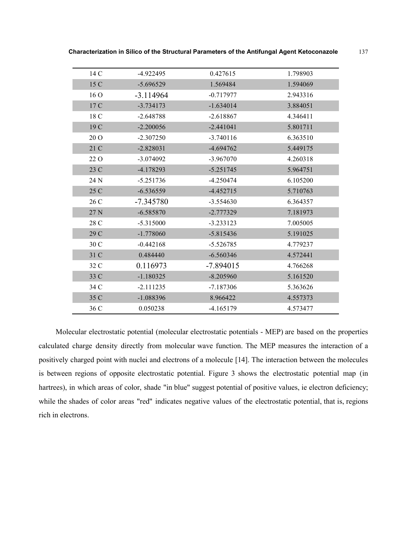| 14 C | $-4.922495$ | 0.427615    | 1.798903 |
|------|-------------|-------------|----------|
| 15 C | $-5.696529$ | 1.569484    | 1.594069 |
| 16O  | $-3.114964$ | $-0.717977$ | 2.943316 |
| 17 C | $-3.734173$ | $-1.634014$ | 3.884051 |
| 18 C | $-2.648788$ | $-2.618867$ | 4.346411 |
| 19 C | $-2.200056$ | $-2.441041$ | 5.801711 |
| 20 O | $-2.307250$ | $-3.740116$ | 6.363510 |
| 21 C | $-2.828031$ | $-4.694762$ | 5.449175 |
| 22 O | $-3.074092$ | $-3.967070$ | 4.260318 |
| 23 C | $-4.178293$ | $-5.251745$ | 5.964751 |
| 24 N | $-5.251736$ | $-4.250474$ | 6.105200 |
| 25 C | $-6.536559$ | $-4.452715$ | 5.710763 |
| 26 C | $-7.345780$ | $-3.554630$ | 6.364357 |
| 27 N | $-6.585870$ | $-2.777329$ | 7.181973 |
| 28 C | $-5.315000$ | $-3.233123$ | 7.005005 |
| 29 C | $-1.778060$ | $-5.815436$ | 5.191025 |
| 30 C | $-0.442168$ | $-5.526785$ | 4.779237 |
| 31 C | 0.484440    | $-6.560346$ | 4.572441 |
| 32 C | 0.116973    | $-7.894015$ | 4.766268 |
| 33 C | $-1.180325$ | $-8.205960$ | 5.161520 |
| 34 C | $-2.111235$ | $-7.187306$ | 5.363626 |
| 35 C | $-1.088396$ | 8.966422    | 4.557373 |
| 36 C | 0.050238    | $-4.165179$ | 4.573477 |

**Characterization in Silico of the Structural Parameters of the Antifungal Agent Ketoconazole** 137

Molecular electrostatic potential (molecular electrostatic potentials - MEP) are based on the properties calculated charge density directly from molecular wave function. The MEP measures the interaction of a positively charged point with nuclei and electrons of a molecule [14]. The interaction between the molecules is between regions of opposite electrostatic potential. Figure 3 shows the electrostatic potential map (in hartrees), in which areas of color, shade "in blue" suggest potential of positive values, ie electron deficiency; while the shades of color areas "red" indicates negative values of the electrostatic potential, that is, regions rich in electrons.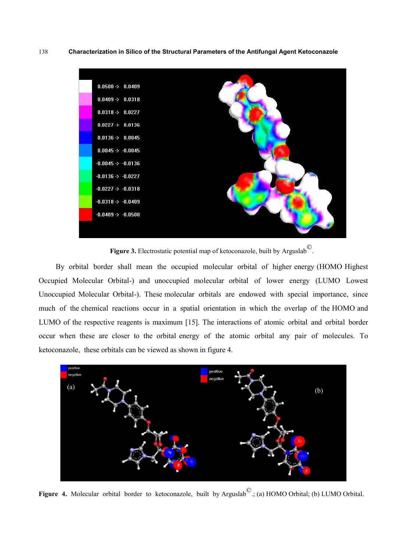

Figure 3. Electrostatic potential map of ketoconazole, built by Arguslab<sup>©</sup>.

By orbital border shall mean the occupied molecular orbital of higher energy (HOMO Highest Occupied Molecular Orbital-) and unoccupied molecular orbital of lower energy (LUMO Lowest Unoccupied Molecular Orbital-). These molecular orbitals are endowed with special importance, since much of the chemical reactions occur in a spatial orientation in which the overlap of the HOMO and LUMO of the respective reagents is maximum [15]. The interactions of atomic orbital and orbital border occur when these are closer to the orbital energy of the atomic orbital any pair of molecules. To ketoconazole, these orbitals can be viewed as shown in figure 4.



**Figure 4.** Molecular orbital border to ketoconazole, built by Arguslab<sup>©</sup>.; (a) HOMO Orbital; (b) LUMO Orbital.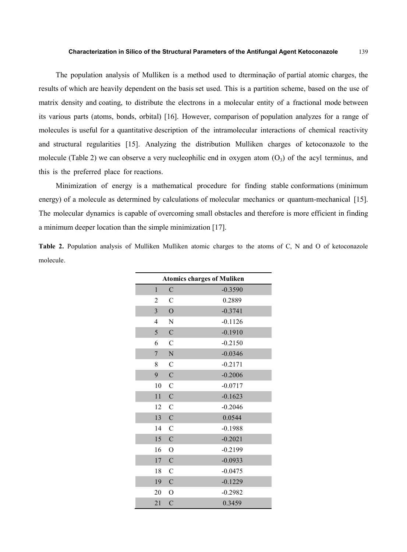The population analysis of Mulliken is a method used to dterminação of partial atomic charges, the results of which are heavily dependent on the basis set used. This is a partition scheme, based on the use of matrix density and coating, to distribute the electrons in a molecular entity of a fractional mode between its various parts (atoms, bonds, orbital) [16]. However, comparison of population analyzes for a range of molecules is useful for a quantitative description of the intramolecular interactions of chemical reactivity and structural regularities [15]. Analyzing the distribution Mulliken charges of ketoconazole to the molecule (Table 2) we can observe a very nucleophilic end in oxygen atom  $(O_3)$  of the acyl terminus, and this is the preferred place for reactions.

Minimization of energy is a mathematical procedure for finding stable conformations (minimum energy) of a molecule as determined by calculations of molecular mechanics or quantum-mechanical [15]. The molecular dynamics is capable of overcoming small obstacles and therefore is more efficient in finding a minimum deeper location than the simple minimization [17].

|           |  |  |  |  |  |  |  |  | <b>Table 2.</b> Population analysis of Mulliken Mulliken atomic charges to the atoms of C, N and O of ketoconazole |
|-----------|--|--|--|--|--|--|--|--|--------------------------------------------------------------------------------------------------------------------|
| molecule. |  |  |  |  |  |  |  |  |                                                                                                                    |

| <b>Atomics charges of Muliken</b> |                |           |  |  |  |  |
|-----------------------------------|----------------|-----------|--|--|--|--|
| $\mathbf{1}$                      | $\mathcal{C}$  | $-0.3590$ |  |  |  |  |
| $\overline{2}$                    | $\overline{C}$ | 0.2889    |  |  |  |  |
| $\overline{\mathbf{3}}$           | $\overline{O}$ | $-0.3741$ |  |  |  |  |
| 4                                 | N              | $-0.1126$ |  |  |  |  |
| 5                                 | $\mathbf C$    | $-0.1910$ |  |  |  |  |
| 6                                 | $\mathcal{C}$  | $-0.2150$ |  |  |  |  |
| $\overline{7}$                    | $\mathbf N$    | $-0.0346$ |  |  |  |  |
| 8                                 | $\mathcal{C}$  | $-0.2171$ |  |  |  |  |
| 9                                 | $\mathbf C$    | $-0.2006$ |  |  |  |  |
| $10\,$                            | $\mathcal{C}$  | $-0.0717$ |  |  |  |  |
| 11                                | $\mathbf C$    | $-0.1623$ |  |  |  |  |
| 12                                | $\mathcal{C}$  | $-0.2046$ |  |  |  |  |
| 13                                | $\mathbf C$    | 0.0544    |  |  |  |  |
| 14                                | $\mathsf{C}$   | $-0.1988$ |  |  |  |  |
| 15                                | $\overline{C}$ | $-0.2021$ |  |  |  |  |
| 16                                | $\overline{O}$ | $-0.2199$ |  |  |  |  |
| 17                                | $\mathcal{C}$  | $-0.0933$ |  |  |  |  |
| 18                                | $\mathsf{C}$   | $-0.0475$ |  |  |  |  |
| 19                                | $\mathcal{C}$  | $-0.1229$ |  |  |  |  |
| 20                                | $\overline{O}$ | $-0.2982$ |  |  |  |  |
| 21                                | $\overline{C}$ | 0.3459    |  |  |  |  |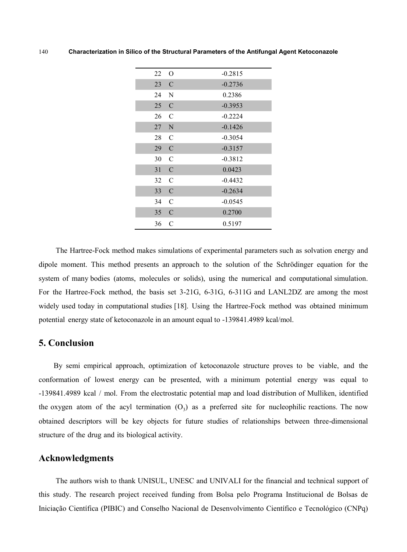| 22 | O             | $-0.2815$ |
|----|---------------|-----------|
| 23 | $\mathcal{C}$ | $-0.2736$ |
| 24 | N             | 0.2386    |
| 25 | $\mathcal{C}$ | $-0.3953$ |
| 26 | $\mathcal{C}$ | $-0.2224$ |
| 27 | N             | $-0.1426$ |
| 28 | $\mathcal{C}$ | $-0.3054$ |
| 29 | $\mathcal{C}$ | $-0.3157$ |
| 30 | $\mathcal{C}$ | $-0.3812$ |
| 31 | $\mathcal{C}$ | 0.0423    |
| 32 | $\mathcal{C}$ | $-0.4432$ |
| 33 | $\mathcal{C}$ | $-0.2634$ |
| 34 | $\mathcal{C}$ | $-0.0545$ |
| 35 | $\mathcal{C}$ | 0.2700    |
| 36 | $\mathcal{C}$ | 0.5197    |

The Hartree-Fock method makes simulations of experimental parameters such as solvation energy and dipole moment. This method presents an approach to the solution of the Schrödinger equation for the system of many bodies (atoms, molecules or solids), using the numerical and computational simulation. For the Hartree-Fock method, the basis set 3-21G, 6-31G, 6-311G and LANL2DZ are among the most widely used today in computational studies [18]. Using the Hartree-Fock method was obtained minimum potential energy state of ketoconazole in an amount equal to -139841.4989 kcal/mol.

# **5. Conclusion**

By semi empirical approach, optimization of ketoconazole structure proves to be viable, and the conformation of lowest energy can be presented, with a minimum potential energy was equal to -139841.4989 kcal / mol. From the electrostatic potential map and load distribution of Mulliken, identified the oxygen atom of the acyl termination  $(O_3)$  as a preferred site for nucleophilic reactions. The now obtained descriptors will be key objects for future studies of relationships between three-dimensional structure of the drug and its biological activity.

## **Acknowledgments**

The authors wish to thank UNISUL, UNESC and UNIVALI for the financial and technical support of this study. The research project received funding from Bolsa pelo Programa Institucional de Bolsas de Iniciação Científica (PIBIC) and Conselho Nacional de Desenvolvimento Científico e Tecnológico (CNPq)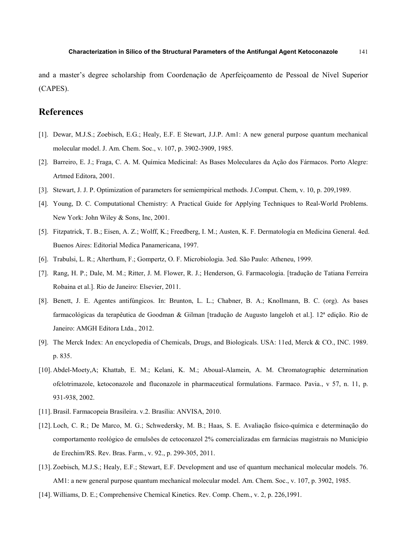and a master's degree scholarship from Coordenação de Aperfeiçoamento de Pessoal de Nível Superior (CAPES).

## **References**

- [1]. Dewar, M.J.S.; Zoebisch, E.G.; Healy, E.F. E Stewart, J.J.P. Am1: A new general purpose quantum mechanical molecular model. J. Am. Chem. Soc., v. 107, p. 3902-3909, 1985.
- [2]. Barreiro, E. J.; Fraga, C. A. M. Química Medicinal: As Bases Moleculares da Ação dos Fármacos. Porto Alegre: Artmed Editora, 2001.
- [3]. Stewart, J. J. P. Optimization of parameters for semiempirical methods. J.Comput. Chem, v. 10, p. 209,1989.
- [4]. Young, D. C. Computational Chemistry: A Practical Guide for Applying Techniques to Real-World Problems. New York: John Wiley & Sons, Inc, 2001.
- [5]. Fitzpatrick, T. B.; Eisen, A. Z.; Wolff, K.; Freedberg, I. M.; Austen, K. F. Dermatología en Medicina General. 4ed. Buenos Aires: Editorial Medica Panamericana, 1997.
- [6]. Trabulsi, L. R.; Alterthum, F.; Gompertz, O. F. Microbiologia. 3ed. São Paulo: Atheneu, 1999.
- [7]. Rang, H. P.; Dale, M. M.; Ritter, J. M. Flower, R. J.; Henderson, G. Farmacologia. [tradução de Tatiana Ferreira Robaina et al.]. Rio de Janeiro: Elsevier, 2011.
- [8]. Benett, J. E. Agentes antifúngicos. In: Brunton, L. L.; Chabner, B. A.; Knollmann, B. C. (org). As bases farmacológicas da terapêutica de Goodman & Gilman [tradução de Augusto langeloh et al.]. 12ª edição. Rio de Janeiro: AMGH Editora Ltda., 2012.
- [9]. The Merck Index: An encyclopedia of Chemicals, Drugs, and Biologicals. USA: 11ed, Merck & CO., INC. 1989. p. 835.
- [10]. Abdel-Moety,A; Khattab, E. M.; Kelani, K. M.; Aboual-Alamein, A. M. Chromatographic determination ofclotrimazole, ketoconazole and fluconazole in pharmaceutical formulations. Farmaco. Pavia., v 57, n. 11, p. 931-938, 2002.
- [11]. Brasil. Farmacopeia Brasileira. v.2. Brasília: ANVISA, 2010.
- [12]. Loch, C. R.; De Marco, M. G.; Schwedersky, M. B.; Haas, S. E. Avaliação físico-química e determinação do comportamento reológico de emulsões de cetoconazol 2% comercializadas em farmácias magistrais no Município de Erechim/RS. Rev. Bras. Farm., v. 92., p. 299-305, 2011.
- [13]. Zoebisch, M.J.S.; Healy, E.F.; Stewart, E.F. Development and use of quantum mechanical molecular models. 76. AM1: a new general purpose quantum mechanical molecular model. Am. Chem. Soc., v. 107, p. 3902, 1985.
- [14]. Williams, D. E.; Comprehensive Chemical Kinetics. Rev. Comp. Chem., v. 2, p. 226,1991.